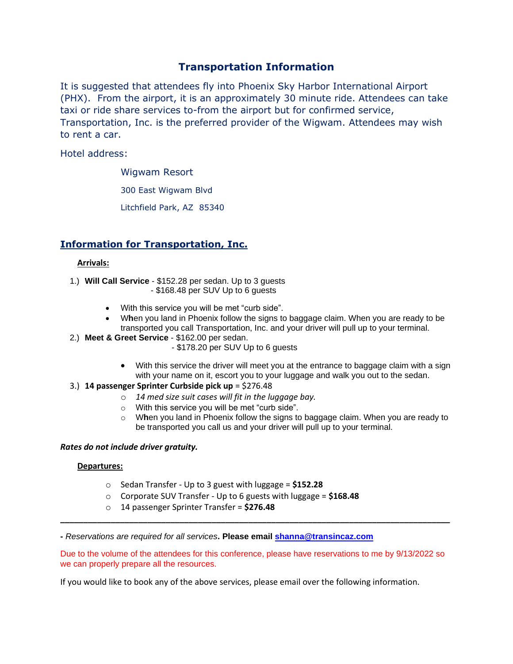# **Transportation Information**

It is suggested that attendees fly into Phoenix Sky Harbor International Airport (PHX). From the airport, it is an approximately 30 minute ride. Attendees can take taxi or ride share services to-from the airport but for confirmed service, Transportation, Inc. is the preferred provider of the Wigwam. Attendees may wish to rent a car.

Hotel address:

Wigwam Resort

300 East Wigwam Blvd

Litchfield Park, AZ 85340

## **Information for Transportation, Inc.**

#### **Arrivals:**

- 1.) **Will Call Service** \$152.28 per sedan. Up to 3 guests
	- \$168.48 per SUV Up to 6 guests
	- With this service you will be met "curb side".
	- W**h**en you land in Phoenix follow the signs to baggage claim. When you are ready to be transported you call Transportation, Inc. and your driver will pull up to your terminal.
- 2.) **Meet & Greet Service** \$162.00 per sedan.
	- \$178.20 per SUV Up to 6 guests
	- With this service the driver will meet you at the entrance to baggage claim with a sign with your name on it, escort you to your luggage and walk you out to the sedan.
- 3.) **14 passenger Sprinter Curbside pick up** = \$276.48
	- o *14 med size suit cases will fit in the luggage bay.*
	- o With this service you will be met "curb side".
	- o W**h**en you land in Phoenix follow the signs to baggage claim. When you are ready to be transported you call us and your driver will pull up to your terminal.

#### *Rates do not include driver gratuity.*

#### **Departures:**

- o Sedan Transfer Up to 3 guest with luggage = **\$152.28**
- o Corporate SUV Transfer Up to 6 guests with luggage = **\$168.48**
- o 14 passenger Sprinter Transfer = **\$276.48**

**-** *Reservations are required for all services***. Please email [shanna@transincaz.com](mailto:shanna@transincaz.com)**

Due to the volume of the attendees for this conference, please have reservations to me by 9/13/2022 so we can properly prepare all the resources.

**\_\_\_\_\_\_\_\_\_\_\_\_\_\_\_\_\_\_\_\_\_\_\_\_\_\_\_\_\_\_\_\_\_\_\_\_\_\_\_\_\_\_\_\_\_\_\_\_\_\_\_\_\_\_\_\_\_\_\_\_\_\_\_\_\_\_\_\_\_\_\_\_\_\_\_\_\_\_\_\_\_\_\_\_\_**

If you would like to book any of the above services, please email over the following information.